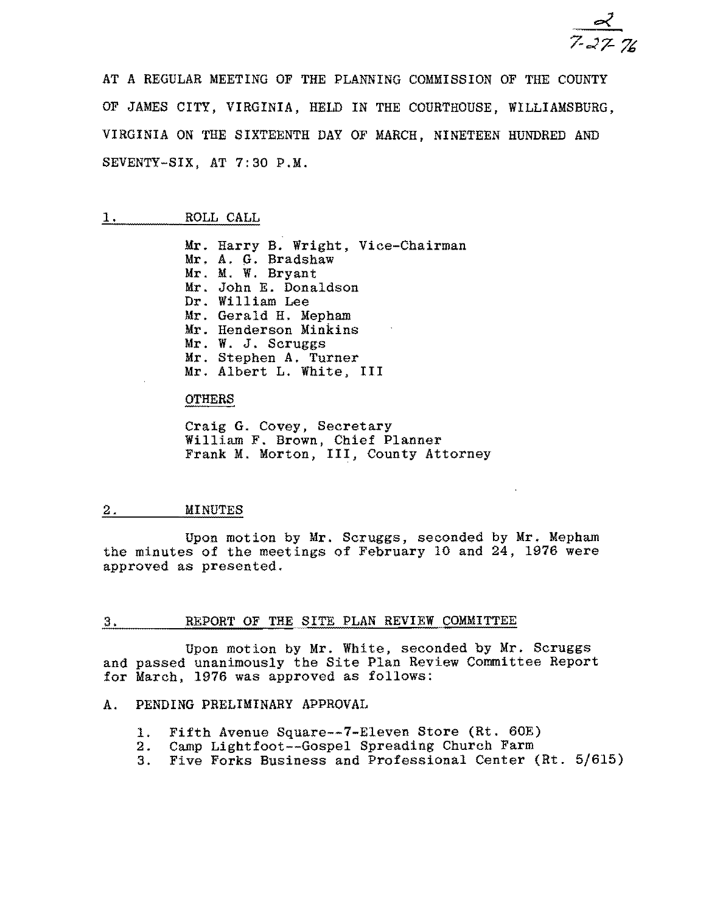AT A REGULAR MEETING OF THE PLANNING COMMISSION OF THE COUNTY OF JAMES CITY, VIRGINIA, HELD IN THE COURTHOUSE, WILLIAMSBURG, VIRGINIA ON THE SIXTEENTH DAY OF MARCH, NINETEEN HUNDRED AND SEVENTY-SIX, AT 7:30 P.M.

### 1. ROLL CALL

Mr. Harry B. Wright, Vice-Chairman Mr. A. G. Bradshaw Mr. M. W. Bryant Mr. John E. Donaldson Dr. William Lee Mr. Gerald H. Mepham Mr. Henderson Minkins Mr. W. J. Scruggs Mr. Stephen A. Turner Mr. Albert L. White, III

#### OTHERS

Craig G. Covey, Secretary William F. Brown, Chief Planner Frank M. Morton, III, County Attorney

#### 2. MINUTES

Upon motion by Mr. Scruggs, seconded by Mr. Mepham the minutes of the meetings of February 10 and 24, 1976 were approved as presented.

### 3. REPORT OF THE SITE PLAN REVIEW COMMITTEE

Upon motion by Mr. White, seconded by Mr. Scruggs and passed unanimously the Site Plan Review Committee Report for March, 1976 was approved as follows:

### A. PENDING PRELIMINARY APPROVAL

- 1. Fifth Avenue Square--7-Eleven Store (Rt. 60E)
- 2. Camp Lightfoot--Gospel Spreading Church Farm<br>3. Five Forks Business and Professional Center (
- 3. Five Forks Business and Professional Center (Rt. 5/615)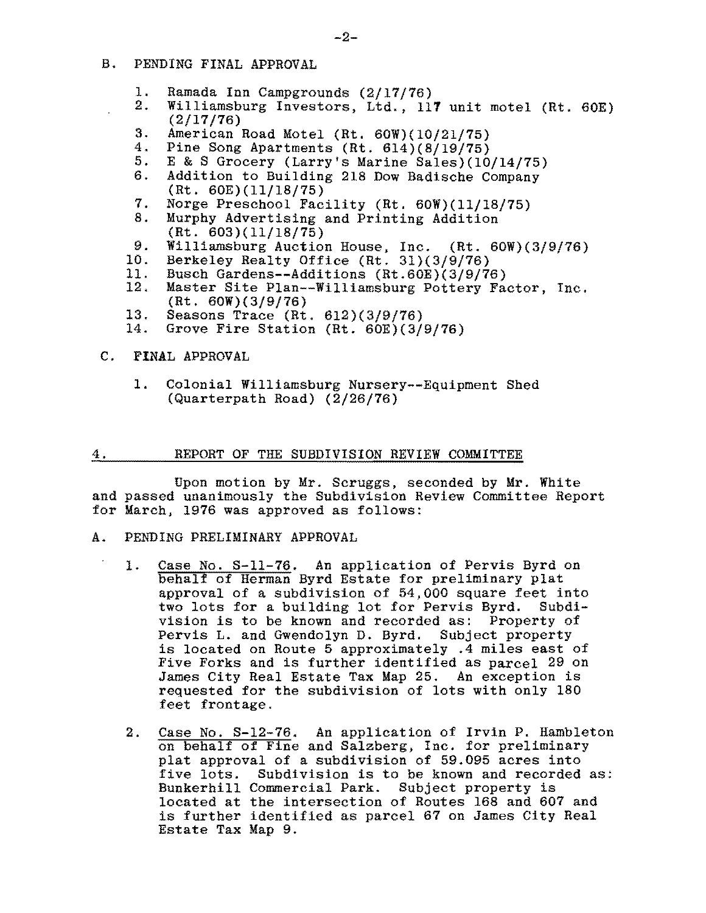- B. PENDING FINAL APPROVAL
	- 1. Ramada Inn Campgrounds (2/17/76)<br>2. Williamsburg Investors, Ltd., 11'
	- Williamsburg Investors, Ltd., 117 unit motel (Rt. 60E) (2/17/76)
	- 3. American Road Motel (Rt.  $60W$ )(10/21/75)<br>4. Pine Song Apartments (Rt.  $614$ )(8/19/75)
	- 4. Pine Song Apartments (Rt. 614)(8/19/75)<br>5. E & S Grocery (Larry's Marine Sales)(10
	- 5. E & S Grocery (Larry's Marine Sales)(10/14/75)<br>6. Addition to Building 218 Dow Badische Company
	- Addition to Building 218 Dow Badische Company (Rt. 60E)(11/18/75)
	- 7. Norge Preschool Facility (Rt. 60W)(11/18/75)<br>8. Murphy Advertising and Printing Addition
	- Murphy Advertising and Printing Addition (Rt. 603)(11/18/75)
	- 9. Williamsburg Auction House, Inc. (Rt. 60W)(3/9/76)<br>10. Berkeley Realty Office (Rt. 31)(3/9/76)
	- 10. Berkeley Realty Office (Rt. 31)(3/9/76)<br>11. Busch Gardens--Additions (Rt.60E)(3/9/76
	- 11. Busch Gardens--Additions (Rt.60E)(3/9/76)<br>12. Master Site Plan--Williamsburg Pottery Fa
	- Master Site Plan--Williamsburg Pottery Factor, Inc. (Rt. 60W)(3/9/76)
	- 13. Seasons Trace  $(Rt. 612)(3/9/76)$ <br>14. Grove Fire Station  $(Rt. 60E)(3/9)$
	- Grove Fire Station (Rt.  $60E$ )(3/9/76)

# C. FINAL APPROVAL

1. Colonial Williamsburg Nursery--Equipment Shed (Quarterpath Road) (2/26/76)

#### 4. REPORT OF THE SUBDIVISION REVIEW COMMITTEE

Upon motion by Mr. Scruggs, seconded by Mr. White and passed unanimously the Subdivision Review Committee Report for March, 1976 was approved as follows:

- A. PENDING PRELIMINARY APPROVAL
	- 1. Case No. S-11-76. An application of Pervis Byrd on behalf of Herman Byrd Estate for preliminary plat approval of a subdivision of 54,000 square feet into two lots for a building lot for Pervis Byrd. Subdivision is to be known and recorded as: Property of Pervis L. and Gwendolyn D. Byrd. Subject property is located on Route 5 approximately .4 miles east of Five Forks and is further identified as parcel 29 on James City Real Estate Tax Map 25. An exception is requested for the subdivision of lots with only 180 feet frontage.
	- 2. Case No. S-12-76. An application of Irvin P. Hambleton on behalf of Fine and Salzberg, Inc. for preliminary plat approval of a subdivision of 59.095 acres into five lots. Subdivision is to be known and recorded as: BUnkerhill Commercial Park. Subject property is located at the intersection of Routes 168 and 607 and is further identified as parcel 67 on James City Real Estate Tax Map 9.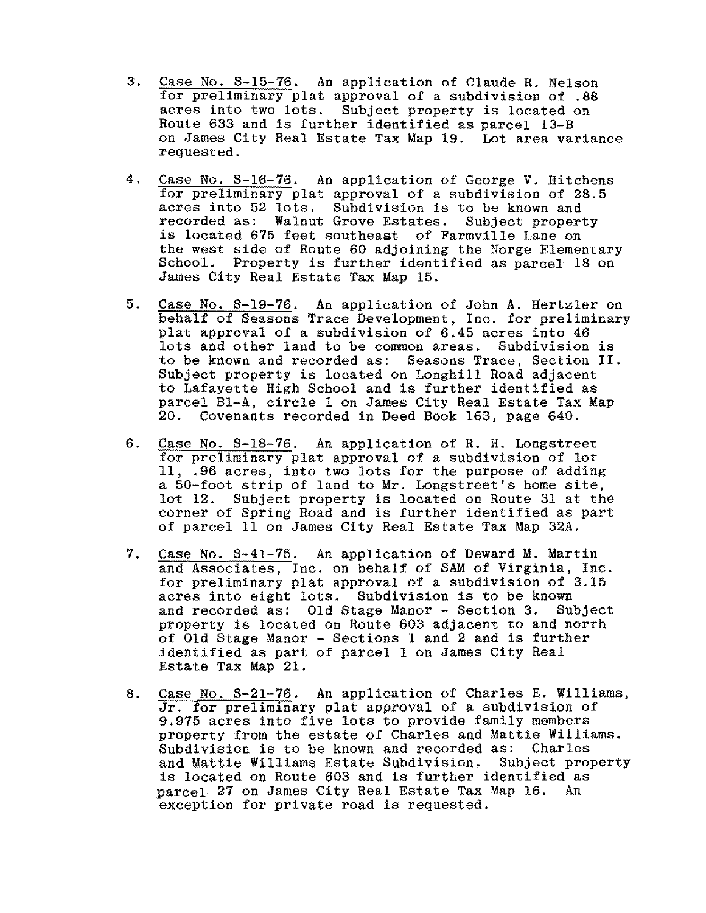- 3. Case No. S-15-76. An application of Claude R. Nelson for preliminary plat approval of a subdivision of .88 acres into two lots. Subject property is located on Route 633 and is further identified as parcel 13-B on James City Real Estate Tax Map 19. Lot area variance requested.
- 4. Case No. S-16-76. An application of George V. Hitchens for preliminary plat approval of a subdivision of 28.5 acres into 52 lots. Subdivision is to be known and recorded as; Walnut Grove Estates. Subject property is located 675 feet southeast of Farmville Lane on the west side of Route 60 adjoining the Norge Elementary School. Property is further identified as parcel 18 on James City Real Estate Tax Map 15.
- 5. Case No. S-19-76. An application of John A. Hertzler on behalf of Seasons Trace Development, Inc. for preliminary plat approval of a subdivision of 6.45 acres into 46 lots and other land to be common areas. Subdivision is to be known and recorded as: Seasons Trace, Section II. Subject property is located on Longhill Road adjacent to Lafayette High School and is further identified as parcel BI-A, circle 1 on James City Real Estate Tax Map 20. Covenants recorded in Deed Book 163, page 640.
- 6. Case No. S-18-76. An application of R. H. Longstreet for preliminary plat approval of a subdivision of lot 11, .96 acres, into two lots for the purpose of adding a 50-foot strip of land to Mr. Longstreet's home site, lot 12. Subject property is located on Route 31 at the corner of Spring Road and is further identified as part of parcel lIon James City Real Estate Tax Map 32A.
- 7. Case No. S-41-75. An application of Deward M. Martin and Associates, Inc. on behalf of SAM of Virginia, Inc. for preliminary plat approval of a subdivision of 3.15 acres into eight lots. Subdivision is to be known and recorded as: Old Stage Manor - Section 3. Subject property is located on Route 603 adjacent to and north of Old Stage Manor - Sections 1 and 2 and is further identified as part of parcel 1 on James City Real Estate Tax Map 21.
- 8. Case No. S-21-76. An application of Charles E. Williams, Jr. for preliminary plat approval of a subdivision of 9.975 acres into five lots to provide family members property from the estate of Charles and Mattie Williams. Subdivision is to be known and recorded as; Charles and Mattie Williams Estate Subdivision. Subject property is located on Route 603 and is further identified as parcel 27 on James City Real Estate Tax Map 16. An exception for private road is requested.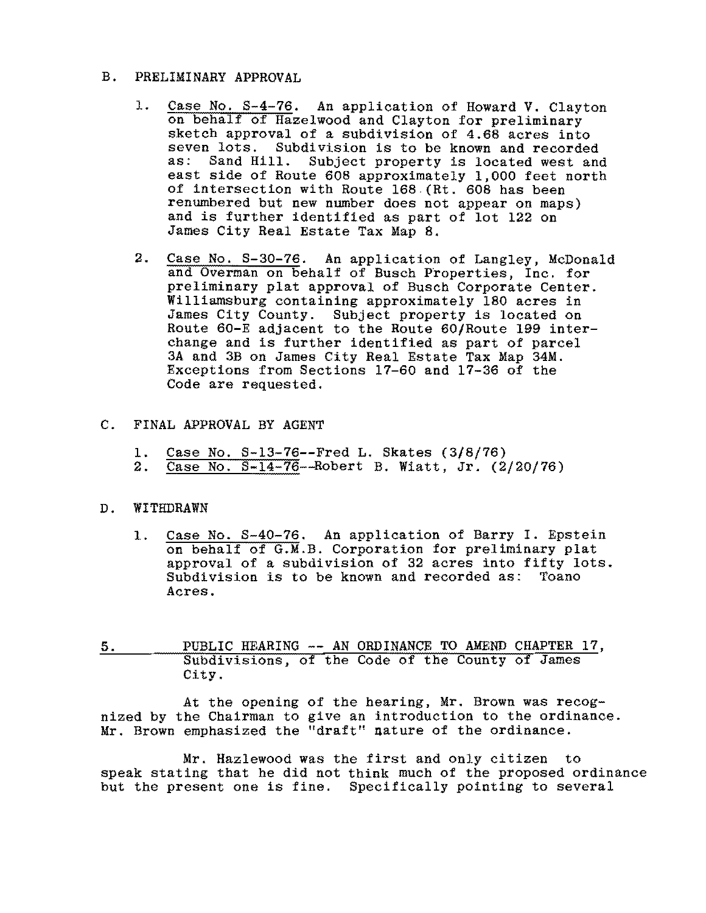## B. PRELIMINARY APPROVAL

- 1. Case No. S-4-76. An application of Howard V. Clayton on behalf of Hazelwood and Clayton for preliminary sketch approval of a subdivision of 4.68 acres into seven lots. Subdivision is to be known and recorded<br>as: Sand Hill. Subject property is located west and Subject property is located west and east side of Route 608 approximately 1,000 feet north of intersection with Route 168 (Rt. 608 has been renumbered but new number does not appear on maps) and is further identified as part of lot 122 on James City Real Estate Tax Map 8.
- 2. Case No. S-30-76. An application of Langley, McDonald and Overman on behalf of Busch Properties, Inc. for preliminary plat approval of Busch Corporate Center. Williamsburg containing approximately 180 acres in James City County. Subject property is located on Route 60-E adjacent to the Route 60/Route 199 interchange and is further identified as part of parcel 3A and 3B on James City Real Estate Tax Map 34M. Exceptions from Sections 17-60 and 17-36 of the Code are requested.

## C. FINAL APPROVAL BY AGENT

- 1.  $\frac{\text{Case No. S}-13-76}{\text{Case No. S}-14-76-\text{Robert B. Watt. Jr. (2)}}$
- Case No.  $S-14-76$ -Robert B. Wiatt, Jr. (2/20/76)

## D. WITHDRAWN

- 1. Case No. S-40-76. An application of Barry I. Epstein on behalf of G.M.B. Corporation for preliminary plat approval of a subdivision of 32 acres into fifty lots. Subdivision is to be known and recorded as: Toano Acres.
- 5. PUBLIC HEARING **--** AN ORDINANCE TO AMEND CHAPTER 17, Subdivisions, of the Code of the County of James City.

At the opening of the hearing, Mr. Brown was recognized by the Chairman to give an introduction to the ordinance. Mr. Brown emphasized the "draft" nature of the ordinance.

Mr. Hazlewood was the first and only citizen to speak stating that he did not think much of the proposed ordinance but the present one is fine. Specifically pointing to several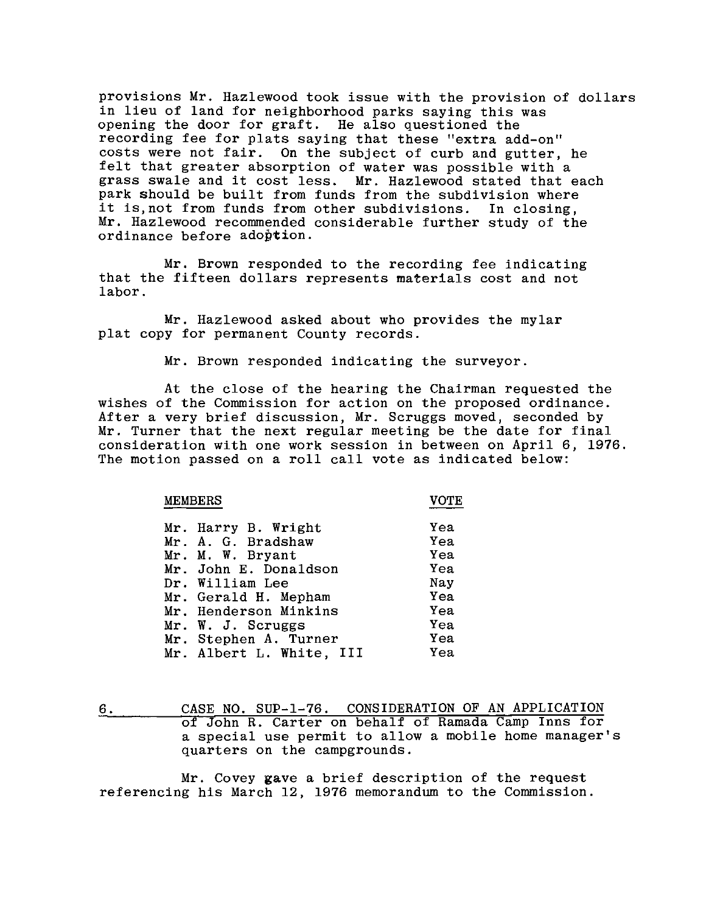provisions Mr. Hazlewood took issue with the provision of dollars in lieu of land for neighborhood parks saying this was opening the door for graft. He also questioned the recording fee for plats saying that these "extra add-on" costs were not fair. On the subject of curb and gutter, he felt that greater absorption of water was possible with a grass swale and it cost less. Mr. Hazlewood stated that each park should be built from funds from the subdivision where it iS,not from funds from other subdivisions. **In** closing, Mr. Hazlewood recommended considerable further study of the ordinance before adoption.

Mr. Brown responded to the recording fee indicating that the fifteen dollars represents materials cost and not labor.

Mr. Hazlewood asked about who provides the mylar plat copy for permanent County records.

Mr. Brown responded indicating the surveyor.

At the close of the hearing the Chairman requested the wishes of the Commission for action on the proposed ordinance. After a very brief discussion, Mr. Scruggs moved, seconded by Mr. Turner that the next regular meeting be the date for final consideration with one work session in between on April 6, 1976. The motion passed on a roll call vote as indicated below:

MEMBERS VOTE

| Mr. Harry B. Wright      | Yea |
|--------------------------|-----|
| Mr. A. G. Bradshaw       | Yea |
| Mr. M. W. Bryant         | Yea |
| Mr. John E. Donaldson    | Yea |
| Dr. William Lee          | Nay |
| Mr. Gerald H. Mepham     | Yea |
| Mr. Henderson Minkins    | Yea |
| Mr. W. J. Scruggs        | Yea |
| Mr. Stephen A. Turner    | Yea |
| Mr. Albert L. White, III | Yea |

6. CASE NO. SUP-1-76. CONSIDERATION OF AN APPLICATION of John R. Carter on behalf of Ramada Camp Inns for a special use permit to allow a mobile home manager's quarters on the campgrounds.

Mr. Covey gave a brief description of the request referencing his March 12, 1976 memorandum to the Commission.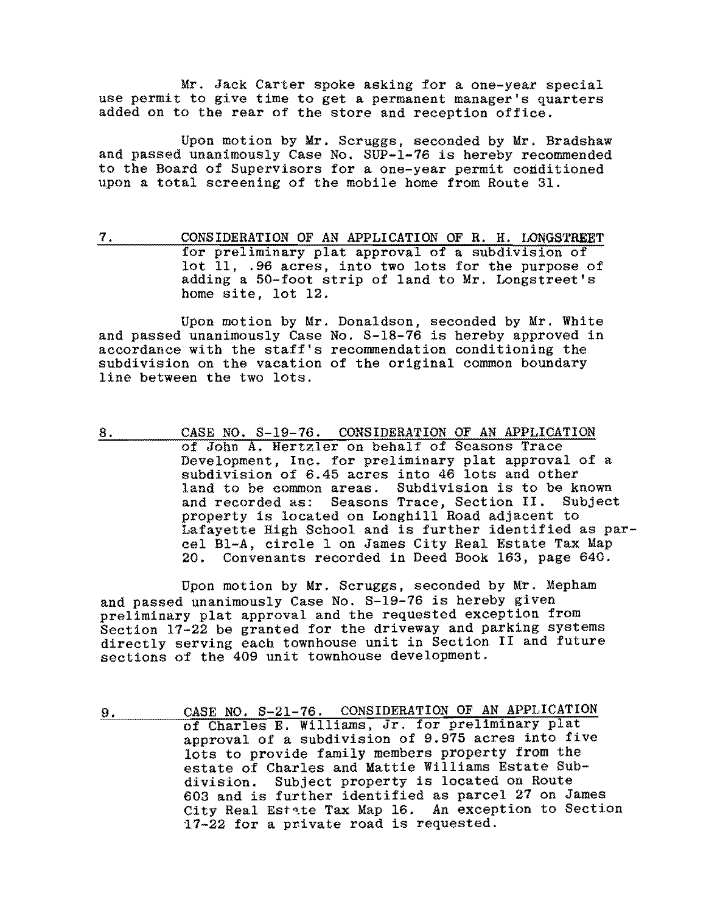Mr. Jack Carter spoke asking for a one-year special use permit to give time to get a permanent manager's quarters added on to the rear of the store and reception office.

Upon motion by Mr. Scruggs, seconded by Mr. Bradshaw and passed unanimously Case No. SUP-1-76 is hereby recommended to the Board of Supervisors for a one-year permit conditioned upon a total screening of the mobile home from Route 31.

7. CONSIDERATION OF AN APPLICATION OF R. H. LONGSTREET for preliminary plat approval of a subdivision of lot 11, .96 acres, into two lots for the purpose of adding a 50-foot strip of land to Mr. Longstreet's home site, lot 12.

Upon motion by Mr. Donaldson, seconded by Mr. White and passed unanimously Case No. S-18-76 is hereby approved in accordance with the staff's recommendation conditioning the subdivision on the vacation of the original common boundary line between the two lots.

8. CASE NO. S-19-76. CONSIDERATION OF AN APPLICATION of John A. Hertzler on behalf of Seasons Trace Development, Inc. for preliminary plat approval of a subdivision of 6.45 acres into 46 lots and other land to be common areas. Subdivision is to be known and recorded as: Seasons Trace, Section **II.** Subject property is located on Longhill Road adjacent to Lafayette High School and is further identified as parcel Bl-A, circle 1 on James City Real Estate Tax Map Convenants recorded in Deed Book 163, page 640.

Upon motion by Mr. Scruggs, seconded by Mr. Mepham and passed unanimously Case No. S-19-76 is hereby given preliminary plat approval and the requested exception from Section 17-22 be granted for the driveway and parking systems directly serving each townhouse unit in Section **II** and future sections of the 409 unit townhouse development.

9. CASE NO. S-21-76. CONSIDERATION OF AN APPLICATION of Charles E. Williams, Jr. for preliminary plat approval of a subdivision of 9.975 acres into five lots to provide family members property from the estate of Charles and Mattie Williams Estate Subdivision. Subject property is located on Route 603 and is further identified as parcel 27 on James City Real Est~te Tax Map 16. An exception to Section  $17-22$  for a private road is requested.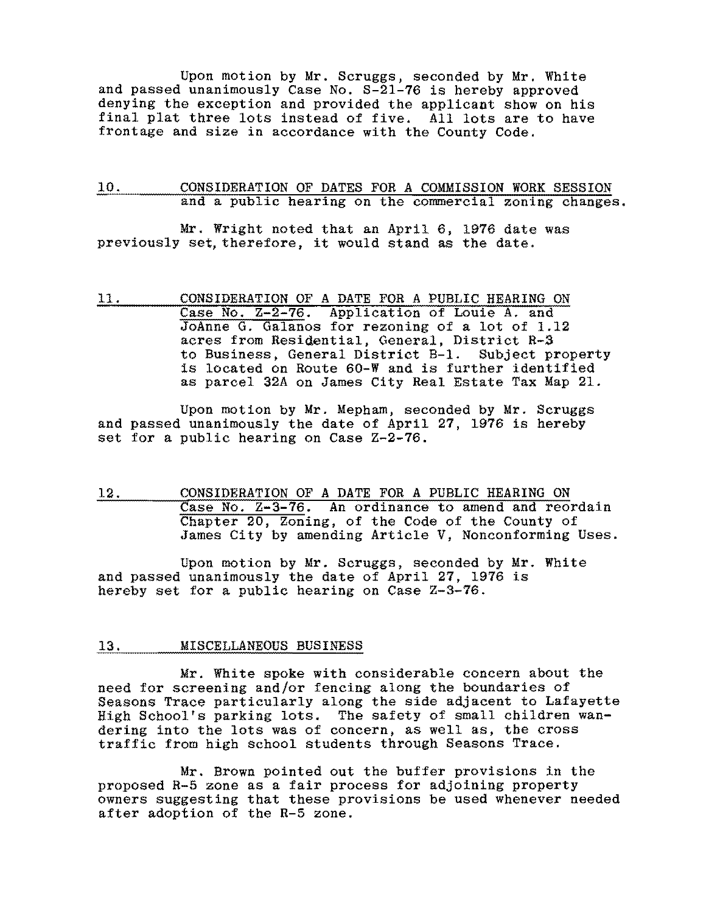Upon motion by Mr. Scruggs, seconded by Mr. White and passed unanimously Case No. S-2l-76 is hereby approved denying the exception and provided the applicant show on his final plat three lots instead of five. All lots are to have frontage and size in accordance with the County Code.

### 10. CONSIDERATION OF DATES FOR A COMMISSION WORK SESSION and a public hearing on the commercial zoning changes.

Mr. Wright noted that an April 6, 1976 date was previously set, therefore, it would stand as the date.

11. CONSIDERATION OF A DATE FOR A PUBLIC HEARING ON Case No. Z-2-76. Application of Louie A. and JoAnne G. Galanos for rezoning of a lot of 1.12 acres from Residential, General, District R-3 to Business, General District B-1. Subject property is located on Route 60-W and is further identified as parcel 32A on James City Real Estate Tax Map 21.

Upon motion by Mr. Mepham, seconded by Mr. Scruggs and passed unanimously the date of April 27, 1976 is hereby set for a public hearing on Case Z-2-76.

12. CONSIDERATION OF A DATE FOR A PUBLIC HEARING ON Case No. Z-3-76. An ordinance to amend and reordain Chapter 20, Zoning, of the Code of the County of James City by amending Article V, Nonconforming Uses.

Upon motion by Mr. Scruggs, seconded by Mr. White and passed unanimously the date of April 27, 1976 is hereby set for a public hearing on Case Z-3-76.

#### 13. MISCELLANEOUS BUSINESS

Mr. White spoke with considerable concern about the need for screening and/or fencing along the boundaries of Seasons Trace particularly along the side adjacent to Lafayette High School's parking lots. The safety of small children wandering into the lots was of concern, as well as, the cross traffic from high school students through Seasons Trace.

Mr. Brown pOinted out the buffer provisions in the proposed R-5 zone as a fair process for adjoining property owners suggesting that these provisions be used whenever needed after adoption of the R-5 zone.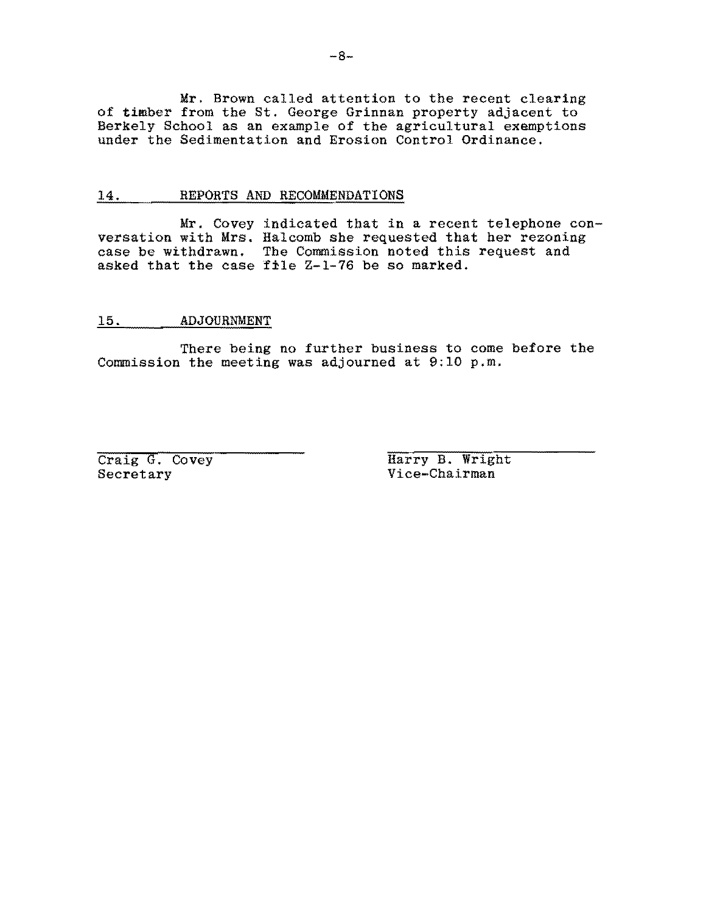Mr. Brown called attention to the recent clearing of timber from the St. George Grinnan property adjacent to Berkely School as an example of the agricultural exemptions under the Sedimentation and Erosion Control Ordinance.

### 14. REPORTS AND RECOMMENDATIONS

Mr. Covey indicated that in a recent telephone conversation with Mrs. Halcomb she requested that her rezoning case be withdrawn. The Commission noted this request and asked that the case file Z-1-76 be so marked.

#### 15. ADJOURNMENT

There being no further business to come before the Commission the meeting was adjourned at 9:10 p.m.

Craig G. Covey Harry B. Wright<br>Secretary Vice-Chairman Vice-Chairman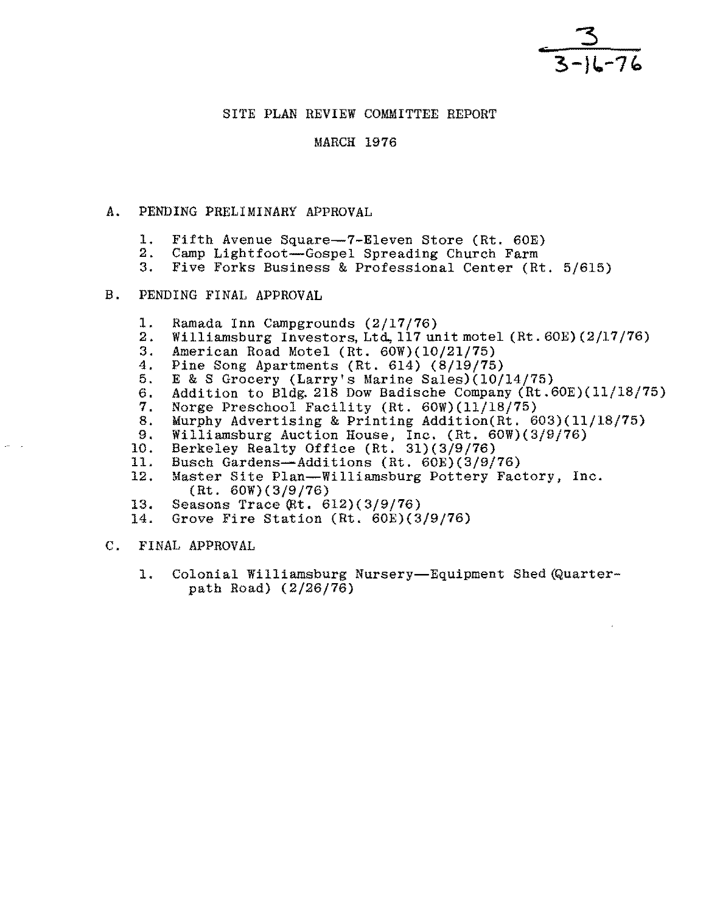

## SITE PLAN REVIEW COMMITTEE REPORT

## **MARCH 1976**

### A. PENDING PRELIMINARY APPROVAL

- 1. Fifth Avenue Square--7-Eleven Store (Rt. 60E)<br>2. Camp Lightfoot--Gospel Spreading Church Farm
- 2. Camp Lightfoot--Gospel Spreading Church Farm<br>3. Five Forks Business & Professional Center (R)
- Five Forks Business & Professional Center (Rt. 5/615)

### B. PENDING FINAL APPROVAL

- 1. Ramada Inn Campgrounds (2/17/76)<br>2. Williamsburg Investors Ltd. 117 un
- 2. Williamsburg Investors, Ltd. 117 unit motel (Rt. 60E) (2/17/76)<br>3. American Road Motel (Rt. 60W) (10/21/75)
- 3. American Road Motel (Rt. 60W)(10/21/75)
- 4. Pine Song Apartments (Rt. 614) (8/19/75)<br>5. E & S Grocery (Larry's Marine Sales)(10/
- 5. E & S Grocery (Larry's Marine Sales)(10/14/75)<br>6. Addition to Bldg. 218 Dow Badische Company (Rt.6
- 6. Addition to Bldg. 218 Dow Badische Company (Rt.60E)(11/18/75)<br>7. Norge Preschool Facility (Rt. 60W)(11/18/75)
- 7. Norge Preschool Facility (Rt. 60W)(11/18/75)
- 8. Murphy Advertising & Printing Addition(Rt. 603)(11/18/75)<br>9. Williamsburg Auction House. Inc. (Rt. 60W)(3/9/76)
- 9. Williamsburg Auction House, Inc. (Rt. 60W)(3/9/76)<br>10. Berkelev Realty Office (Rt. 31)(3/9/76)
- 10. Berkeley Realty Office (Rt. 31)(3/9/76)<br>11. Busch Gardens-Additions (Rt. 60E)(3/9/
- 11. Busch Gardens-Additions (Rt. 60E)(3/9/76)<br>12. Master Site Plan-Williamsburg Pottery Fac
- Master Site Plan--Williamsburg Pottery Factory, Inc. (Rt. 60W)(3/9/76)
- 13. Seasons Trace  $(Rt. 612)(3/9/76)$ <br>14. Grove Fire Station  $(Rt. 60E)(3)$
- Grove Fire Station (Rt. 60E)(3/9/76)
- C. FINAL APPROVAL
	- 1. Colonial Williamsburg Nursery-Equipment Shed (Quarterpath Road) (2/26/76)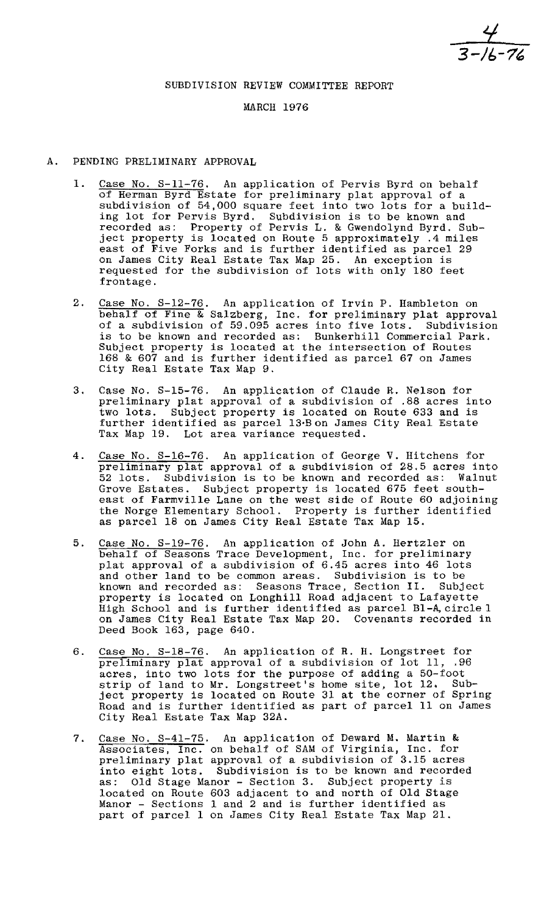$\frac{4}{3 - 16 - 72}$ 

## SUBDIVISION REVIEW COMMITTEE REPORT

# MARCH 1976

- A. PENDING PRELIMINARY APPROVAL
	- 1. Case No. S-11-76. An application of Pervis Byrd on behalf of Herman Byrd Estate for preliminary plat approval of a subdivision of 54,000 square feet into two lots for a building lot for Pervis Byrd. Subdivision is to be known and recorded as: Property of Pervis L. & Gwendolynd Byrd. Subject property is located on Route 5 approximately .4 miles east of Five Forks and is further identified as parcel 29 on James City Real Estate Tax Map 25. An exception is requested for the subdivision of lots with only 180 feet frontage.
	- 2. Case No. S-12-76. An application of Irvin P. Hambleton on behalf of Fine & Salzberg, Inc. for preliminary plat approval of a subdivision of 59.095 acres into five lots. Subdivision is to be known and recorded as: Bunkerhill Commercial Park. Subject property is located at the intersection of Routes 168 & 607 and is further identified as parcel 67 on James City Real Estate Tax Map 9.
	- 3. Case No. S-15-76. An application of Claude R. Nelson for preliminary plat approval of a subdivision of .88 acres into two lots. Subject property is located on Route 633 and is further identified as parcel 13·Bon James City Real Estate Tax Map 19. Lot area variance requested.
	- 4. Case No. S-16-76. An application of George V. Hitchens for preliminary plat approval of a subdivision of 28.5 acres into 52 lots. Subdivision is to be known and recorded as: Walnut Grove Estates. Subject property is located 675 feet southeast of Farmville Lane on the west side of Route 60 adjoining the Norge Elementary School. Property is further identified as parcel 18 on James City Real Estate Tax Map 15.
	- 5. Case No. S-19-76. An application of John A. Hertzler on behalf of Seasons Trace Development, Inc. for preliminary plat approval of a subdivision of 6.45 acres into 46 lots and other land to be common areas. Subdivision is to be known and recorded as: Seasons Trace, Section II. Subject property is located on Longhill Road adjacent to Lafayette High School and is further identified as parcel Bl-A, circle 1 on James City Real Estate Tax Map 20. Covenants recorded in Deed Book 163, page 640.
	- 6. Case No. S-18-76. An application of R. H. Longstreet for preliminary plat approval of a subdivision of lot 11, .96 acres, into two lots for the purpose of adding a 50-foot actes, into the folls for the purpose of mauing a so root strip of fand to mit hongstreet s home site, for interesting ject property is located on Route 31 at the corner of Spring Road and is further identified as part of parcel 11 on James City Real Estate Tax Map 32A.
	- 7. Case No. S-41-75. An application of Deward M. Martin & Associates, Inc. on behalf of SAM of Virginia, Inc. for preliminary plat approval of a subdivision of 3.15 acres into eight lots. Subdivision is to be known and recorded as: Old Stage Manor - Section 3. Subject property is Old Stage Manor - Section 3. Subject property is located on Route 603 adjacent to and north of Old Stage Manor - Sections 1 and 2 and is further identified as manor - Sections 1 and 2 and is further fuentified as<br>part of parcel 1 on James City Real Estate Tax Map 21.